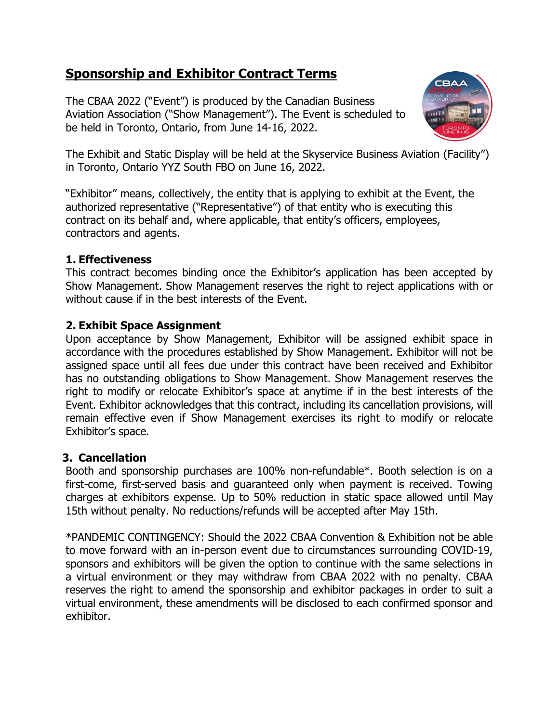# **Sponsorship and Exhibitor Contract Terms**

The CBAA 2022 ("Event") is produced by the Canadian Business Aviation Association ("Show Management"). The Event is scheduled to be held in Toronto, Ontario, from June 14-16, 2022.



The Exhibit and Static Display will be held at the Skyservice Business Aviation (Facility") in Toronto, Ontario YYZ South FBO on June 16, 2022.

"Exhibitor" means, collectively, the entity that is applying to exhibit at the Event, the authorized representative ("Representative") of that entity who is executing this contract on its behalf and, where applicable, that entity's officers, employees, contractors and agents.

# **1. Effectiveness**

This contract becomes binding once the Exhibitor's application has been accepted by Show Management. Show Management reserves the right to reject applications with or without cause if in the best interests of the Event.

# **2. Exhibit Space Assignment**

Upon acceptance by Show Management, Exhibitor will be assigned exhibit space in accordance with the procedures established by Show Management. Exhibitor will not be assigned space until all fees due under this contract have been received and Exhibitor has no outstanding obligations to Show Management. Show Management reserves the right to modify or relocate Exhibitor's space at anytime if in the best interests of the Event. Exhibitor acknowledges that this contract, including its cancellation provisions, will remain effective even if Show Management exercises its right to modify or relocate Exhibitor's space.

# **3. Cancellation**

Booth and sponsorship purchases are 100% non-refundable\*. Booth selection is on a first-come, first-served basis and guaranteed only when payment is received. Towing charges at exhibitors expense. Up to 50% reduction in static space allowed until May 15th without penalty. No reductions/refunds will be accepted after May 15th.

\*PANDEMIC CONTINGENCY: Should the 2022 CBAA Convention & Exhibition not be able to move forward with an in-person event due to circumstances surrounding COVID-19, sponsors and exhibitors will be given the option to continue with the same selections in a virtual environment or they may withdraw from CBAA 2022 with no penalty. CBAA reserves the right to amend the sponsorship and exhibitor packages in order to suit a virtual environment, these amendments will be disclosed to each confirmed sponsor and exhibitor.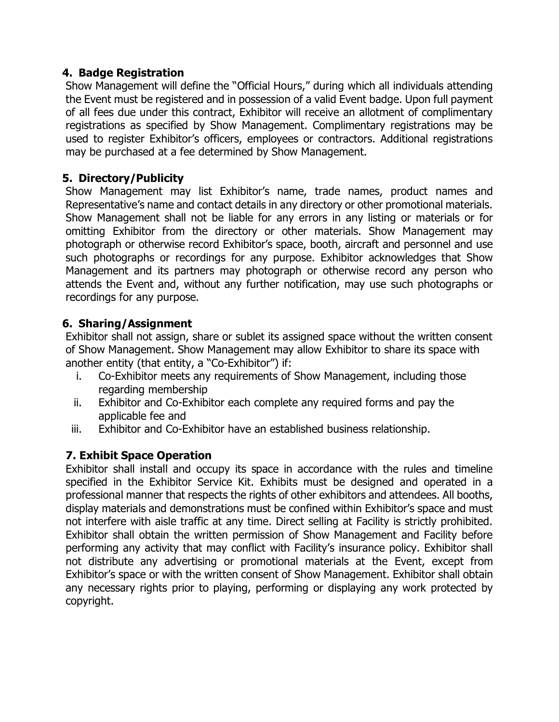# **4. Badge Registration**

Show Management will define the "Official Hours," during which all individuals attending the Event must be registered and in possession of a valid Event badge. Upon full payment of all fees due under this contract, Exhibitor will receive an allotment of complimentary registrations as specified by Show Management. Complimentary registrations may be used to register Exhibitor's officers, employees or contractors. Additional registrations may be purchased at a fee determined by Show Management.

# **5. Directory/Publicity**

Show Management may list Exhibitor's name, trade names, product names and Representative's name and contact details in any directory or other promotional materials. Show Management shall not be liable for any errors in any listing or materials or for omitting Exhibitor from the directory or other materials. Show Management may photograph or otherwise record Exhibitor's space, booth, aircraft and personnel and use such photographs or recordings for any purpose. Exhibitor acknowledges that Show Management and its partners may photograph or otherwise record any person who attends the Event and, without any further notification, may use such photographs or recordings for any purpose.

### **6. Sharing/Assignment**

Exhibitor shall not assign, share or sublet its assigned space without the written consent of Show Management. Show Management may allow Exhibitor to share its space with another entity (that entity, a "Co-Exhibitor") if:

- i. Co-Exhibitor meets any requirements of Show Management, including those regarding membership
- ii. Exhibitor and Co-Exhibitor each complete any required forms and pay the applicable fee and
- iii. Exhibitor and Co-Exhibitor have an established business relationship.

# **7. Exhibit Space Operation**

Exhibitor shall install and occupy its space in accordance with the rules and timeline specified in the Exhibitor Service Kit. Exhibits must be designed and operated in a professional manner that respects the rights of other exhibitors and attendees. All booths, display materials and demonstrations must be confined within Exhibitor's space and must not interfere with aisle traffic at any time. Direct selling at Facility is strictly prohibited. Exhibitor shall obtain the written permission of Show Management and Facility before performing any activity that may conflict with Facility's insurance policy. Exhibitor shall not distribute any advertising or promotional materials at the Event, except from Exhibitor's space or with the written consent of Show Management. Exhibitor shall obtain any necessary rights prior to playing, performing or displaying any work protected by copyright.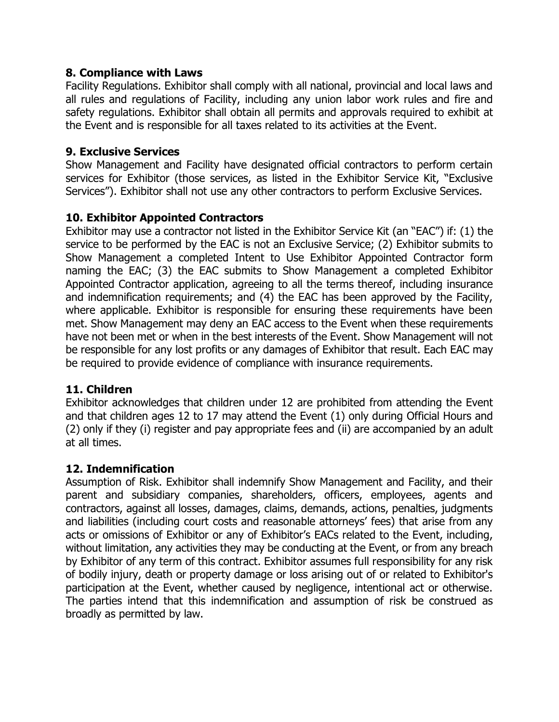### **8. Compliance with Laws**

Facility Regulations. Exhibitor shall comply with all national, provincial and local laws and all rules and regulations of Facility, including any union labor work rules and fire and safety regulations. Exhibitor shall obtain all permits and approvals required to exhibit at the Event and is responsible for all taxes related to its activities at the Event.

## **9. Exclusive Services**

Show Management and Facility have designated official contractors to perform certain services for Exhibitor (those services, as listed in the Exhibitor Service Kit, "Exclusive Services"). Exhibitor shall not use any other contractors to perform Exclusive Services.

# **10. Exhibitor Appointed Contractors**

Exhibitor may use a contractor not listed in the Exhibitor Service Kit (an "EAC") if: (1) the service to be performed by the EAC is not an Exclusive Service; (2) Exhibitor submits to Show Management a completed Intent to Use Exhibitor Appointed Contractor form naming the EAC; (3) the EAC submits to Show Management a completed Exhibitor Appointed Contractor application, agreeing to all the terms thereof, including insurance and indemnification requirements; and (4) the EAC has been approved by the Facility, where applicable. Exhibitor is responsible for ensuring these requirements have been met. Show Management may deny an EAC access to the Event when these requirements have not been met or when in the best interests of the Event. Show Management will not be responsible for any lost profits or any damages of Exhibitor that result. Each EAC may be required to provide evidence of compliance with insurance requirements.

# **11. Children**

Exhibitor acknowledges that children under 12 are prohibited from attending the Event and that children ages 12 to 17 may attend the Event (1) only during Official Hours and (2) only if they (i) register and pay appropriate fees and (ii) are accompanied by an adult at all times.

#### **12. Indemnification**

Assumption of Risk. Exhibitor shall indemnify Show Management and Facility, and their parent and subsidiary companies, shareholders, officers, employees, agents and contractors, against all losses, damages, claims, demands, actions, penalties, judgments and liabilities (including court costs and reasonable attorneys' fees) that arise from any acts or omissions of Exhibitor or any of Exhibitor's EACs related to the Event, including, without limitation, any activities they may be conducting at the Event, or from any breach by Exhibitor of any term of this contract. Exhibitor assumes full responsibility for any risk of bodily injury, death or property damage or loss arising out of or related to Exhibitor's participation at the Event, whether caused by negligence, intentional act or otherwise. The parties intend that this indemnification and assumption of risk be construed as broadly as permitted by law.